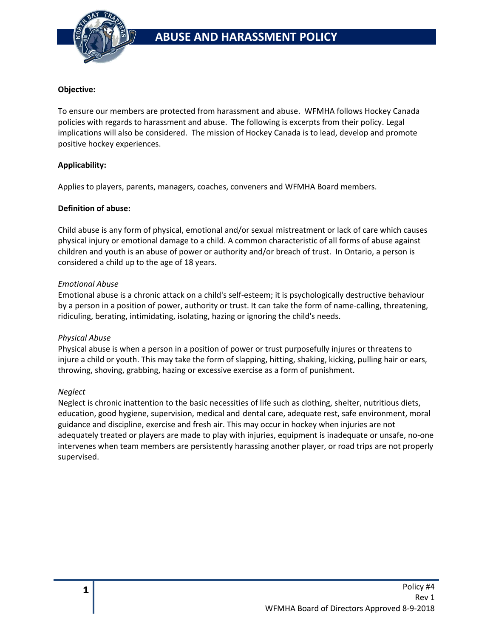

### **Objective:**

To ensure our members are protected from harassment and abuse. WFMHA follows Hockey Canada policies with regards to harassment and abuse. The following is excerpts from their policy. Legal implications will also be considered. The mission of Hockey Canada is to lead, develop and promote positive hockey experiences.

## **Applicability:**

Applies to players, parents, managers, coaches, conveners and WFMHA Board members.

#### **Definition of abuse:**

Child abuse is any form of physical, emotional and/or sexual mistreatment or lack of care which causes physical injury or emotional damage to a child. A common characteristic of all forms of abuse against children and youth is an abuse of power or authority and/or breach of trust. In Ontario, a person is considered a child up to the age of 18 years.

#### *Emotional Abuse*

Emotional abuse is a chronic attack on a child's self-esteem; it is psychologically destructive behaviour by a person in a position of power, authority or trust. It can take the form of name-calling, threatening, ridiculing, berating, intimidating, isolating, hazing or ignoring the child's needs.

#### *Physical Abuse*

Physical abuse is when a person in a position of power or trust purposefully injures or threatens to injure a child or youth. This may take the form of slapping, hitting, shaking, kicking, pulling hair or ears, throwing, shoving, grabbing, hazing or excessive exercise as a form of punishment.

#### *Neglect*

Neglect is chronic inattention to the basic necessities of life such as clothing, shelter, nutritious diets, education, good hygiene, supervision, medical and dental care, adequate rest, safe environment, moral guidance and discipline, exercise and fresh air. This may occur in hockey when injuries are not adequately treated or players are made to play with injuries, equipment is inadequate or unsafe, no-one intervenes when team members are persistently harassing another player, or road trips are not properly supervised.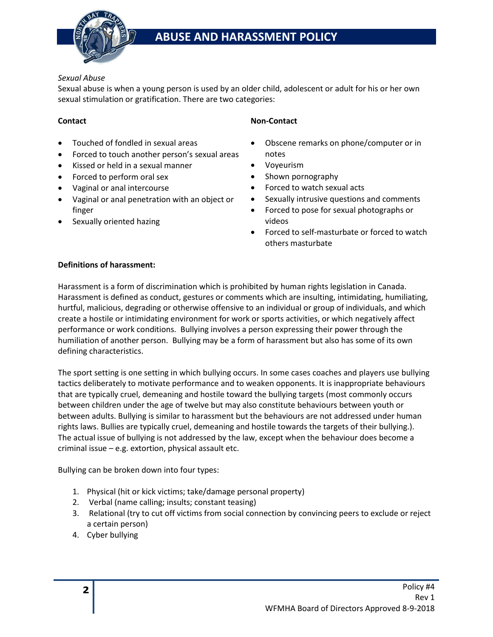

# *Sexual Abuse*

Sexual abuse is when a young person is used by an older child, adolescent or adult for his or her own sexual stimulation or gratification. There are two categories:

# **Contact**

- Touched of fondled in sexual areas
- Forced to touch another person's sexual areas
- Kissed or held in a sexual manner
- Forced to perform oral sex
- Vaginal or anal intercourse
- Vaginal or anal penetration with an object or finger
- Sexually oriented hazing

# **Non-Contact**

- Obscene remarks on phone/computer or in notes
- Voyeurism
- Shown pornography
- Forced to watch sexual acts
- Sexually intrusive questions and comments
- Forced to pose for sexual photographs or videos
- Forced to self-masturbate or forced to watch others masturbate

# **Definitions of harassment:**

Harassment is a form of discrimination which is prohibited by human rights legislation in Canada. Harassment is defined as conduct, gestures or comments which are insulting, intimidating, humiliating, hurtful, malicious, degrading or otherwise offensive to an individual or group of individuals, and which create a hostile or intimidating environment for work or sports activities, or which negatively affect performance or work conditions. Bullying involves a person expressing their power through the humiliation of another person. Bullying may be a form of harassment but also has some of its own defining characteristics.

The sport setting is one setting in which bullying occurs. In some cases coaches and players use bullying tactics deliberately to motivate performance and to weaken opponents. It is inappropriate behaviours that are typically cruel, demeaning and hostile toward the bullying targets (most commonly occurs between children under the age of twelve but may also constitute behaviours between youth or between adults. Bullying is similar to harassment but the behaviours are not addressed under human rights laws. Bullies are typically cruel, demeaning and hostile towards the targets of their bullying.). The actual issue of bullying is not addressed by the law, except when the behaviour does become a criminal issue – e.g. extortion, physical assault etc.

Bullying can be broken down into four types:

- 1. Physical (hit or kick victims; take/damage personal property)
- 2. Verbal (name calling; insults; constant teasing)
- 3. Relational (try to cut off victims from social connection by convincing peers to exclude or reject a certain person)
- 4. Cyber bullying